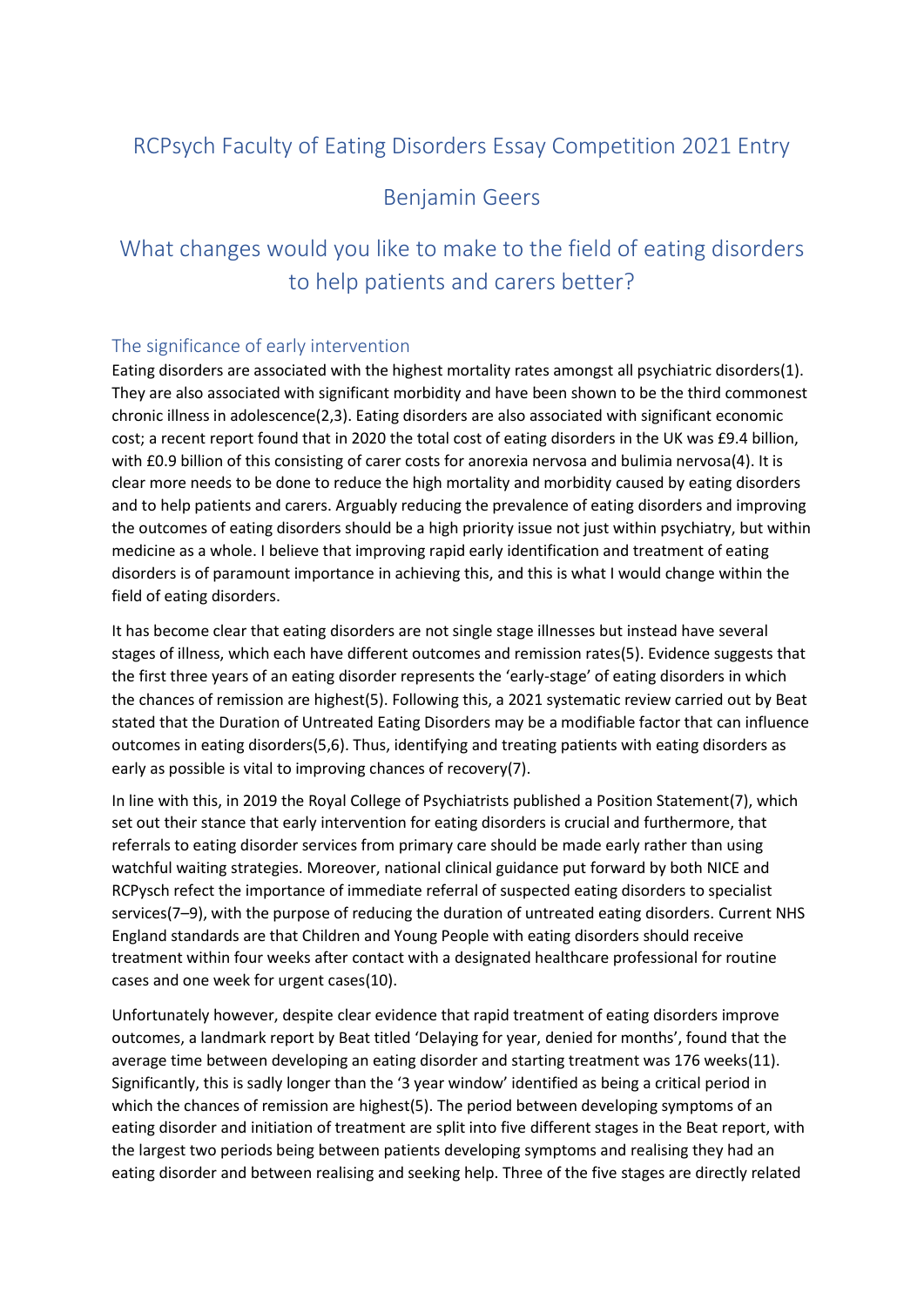## RCPsych Faculty of Eating Disorders Essay Competition 2021 Entry

### Benjamin Geers

# What changes would you like to make to the field of eating disorders to help patients and carers better?

#### The significance of early intervention

Eating disorders are associated with the highest mortality rates amongst all psychiatric disorders(1). They are also associated with significant morbidity and have been shown to be the third commonest chronic illness in adolescence(2,3). Eating disorders are also associated with significant economic cost; a recent report found that in 2020 the total cost of eating disorders in the UK was £9.4 billion, with £0.9 billion of this consisting of carer costs for anorexia nervosa and bulimia nervosa(4). It is clear more needs to be done to reduce the high mortality and morbidity caused by eating disorders and to help patients and carers. Arguably reducing the prevalence of eating disorders and improving the outcomes of eating disorders should be a high priority issue not just within psychiatry, but within medicine as a whole. I believe that improving rapid early identification and treatment of eating disorders is of paramount importance in achieving this, and this is what I would change within the field of eating disorders.

It has become clear that eating disorders are not single stage illnesses but instead have several stages of illness, which each have different outcomes and remission rates(5). Evidence suggests that the first three years of an eating disorder represents the 'early-stage' of eating disorders in which the chances of remission are highest(5). Following this, a 2021 systematic review carried out by Beat stated that the Duration of Untreated Eating Disorders may be a modifiable factor that can influence outcomes in eating disorders(5,6). Thus, identifying and treating patients with eating disorders as early as possible is vital to improving chances of recovery(7).

In line with this, in 2019 the Royal College of Psychiatrists published a Position Statement(7), which set out their stance that early intervention for eating disorders is crucial and furthermore, that referrals to eating disorder services from primary care should be made early rather than using watchful waiting strategies. Moreover, national clinical guidance put forward by both NICE and RCPysch refect the importance of immediate referral of suspected eating disorders to specialist services(7–9), with the purpose of reducing the duration of untreated eating disorders. Current NHS England standards are that Children and Young People with eating disorders should receive treatment within four weeks after contact with a designated healthcare professional for routine cases and one week for urgent cases(10).

Unfortunately however, despite clear evidence that rapid treatment of eating disorders improve outcomes, a landmark report by Beat titled 'Delaying for year, denied for months', found that the average time between developing an eating disorder and starting treatment was 176 weeks(11). Significantly, this is sadly longer than the '3 year window' identified as being a critical period in which the chances of remission are highest(5). The period between developing symptoms of an eating disorder and initiation of treatment are split into five different stages in the Beat report, with the largest two periods being between patients developing symptoms and realising they had an eating disorder and between realising and seeking help. Three of the five stages are directly related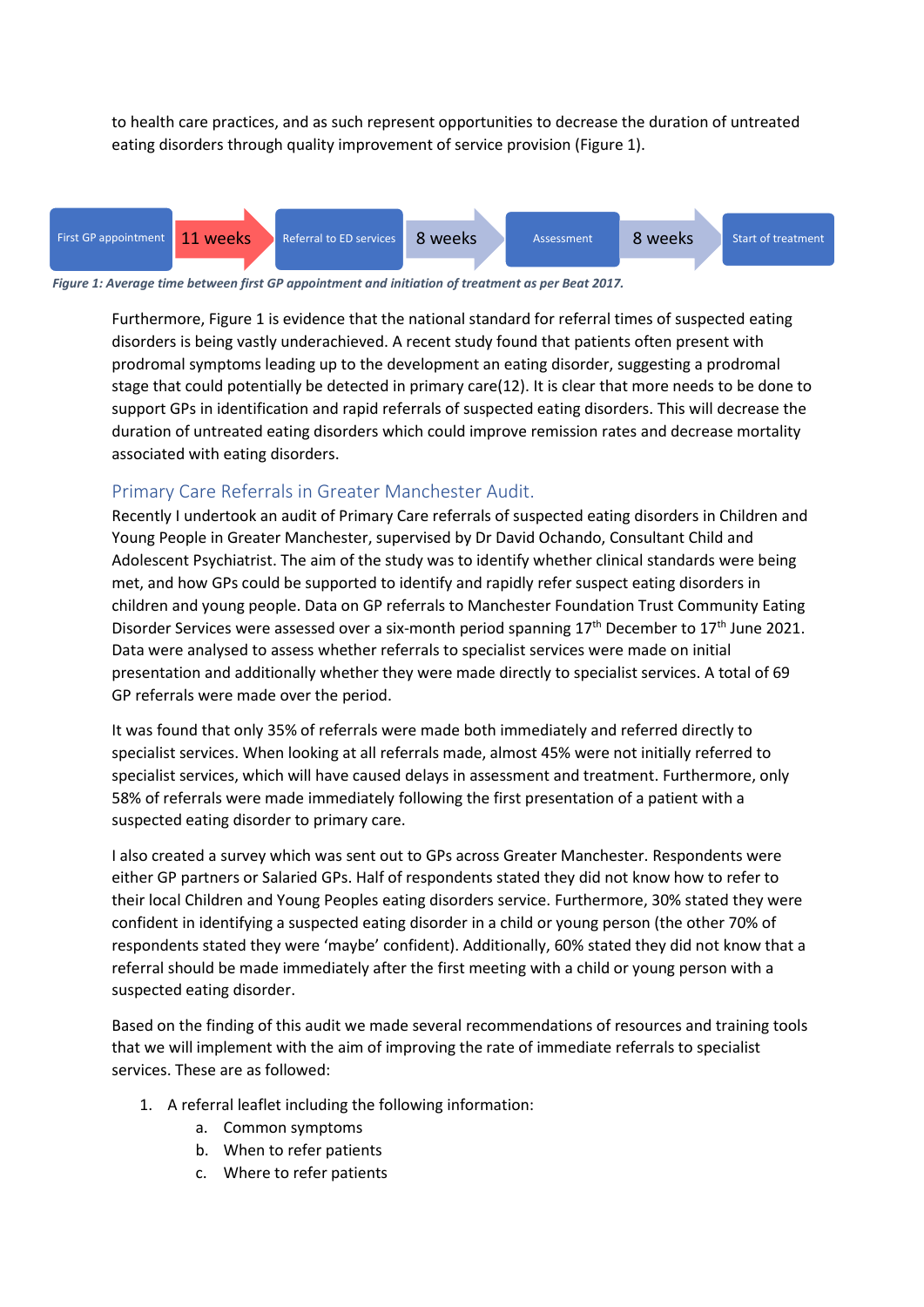to health care practices, and as such represent opportunities to decrease the duration of untreated eating disorders through quality improvement of service provision (Figure 1).



*Figure 1: Average time between first GP appointment and initiation of treatment as per Beat 2017.*

Furthermore, Figure 1 is evidence that the national standard for referral times of suspected eating disorders is being vastly underachieved. A recent study found that patients often present with prodromal symptoms leading up to the development an eating disorder, suggesting a prodromal stage that could potentially be detected in primary care(12). It is clear that more needs to be done to support GPs in identification and rapid referrals of suspected eating disorders. This will decrease the duration of untreated eating disorders which could improve remission rates and decrease mortality associated with eating disorders.

#### Primary Care Referrals in Greater Manchester Audit.

Recently I undertook an audit of Primary Care referrals of suspected eating disorders in Children and Young People in Greater Manchester, supervised by Dr David Ochando, Consultant Child and Adolescent Psychiatrist. The aim of the study was to identify whether clinical standards were being met, and how GPs could be supported to identify and rapidly refer suspect eating disorders in children and young people. Data on GP referrals to Manchester Foundation Trust Community Eating Disorder Services were assessed over a six-month period spanning  $17<sup>th</sup>$  December to  $17<sup>th</sup>$  June 2021. Data were analysed to assess whether referrals to specialist services were made on initial presentation and additionally whether they were made directly to specialist services. A total of 69 GP referrals were made over the period.

It was found that only 35% of referrals were made both immediately and referred directly to specialist services. When looking at all referrals made, almost 45% were not initially referred to specialist services, which will have caused delays in assessment and treatment. Furthermore, only 58% of referrals were made immediately following the first presentation of a patient with a suspected eating disorder to primary care.

I also created a survey which was sent out to GPs across Greater Manchester. Respondents were either GP partners or Salaried GPs. Half of respondents stated they did not know how to refer to their local Children and Young Peoples eating disorders service. Furthermore, 30% stated they were confident in identifying a suspected eating disorder in a child or young person (the other 70% of respondents stated they were 'maybe' confident). Additionally, 60% stated they did not know that a referral should be made immediately after the first meeting with a child or young person with a suspected eating disorder.

Based on the finding of this audit we made several recommendations of resources and training tools that we will implement with the aim of improving the rate of immediate referrals to specialist services. These are as followed:

- 1. A referral leaflet including the following information:
	- a. Common symptoms
	- b. When to refer patients
	- c. Where to refer patients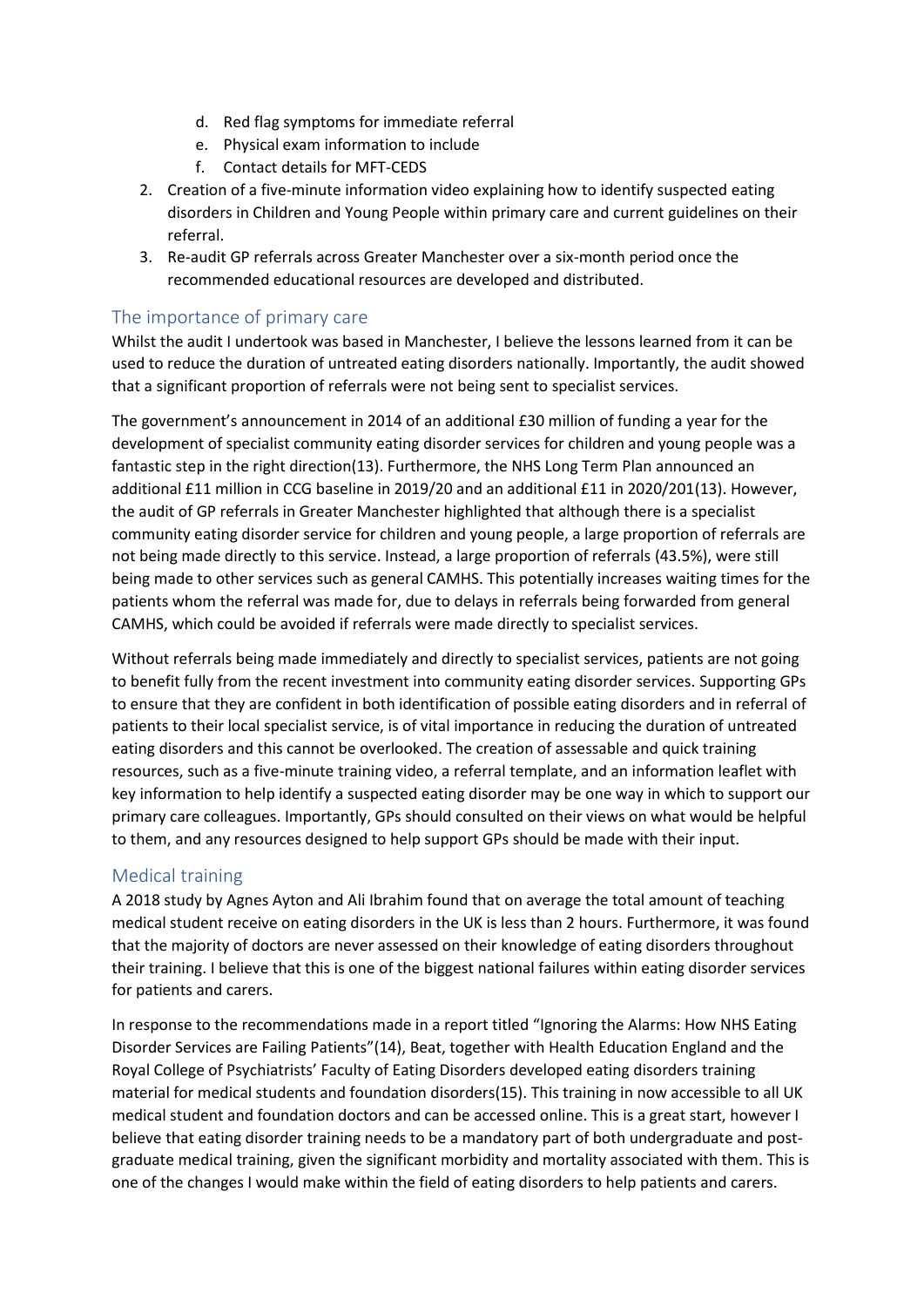- d. Red flag symptoms for immediate referral
- e. Physical exam information to include
- f. Contact details for MFT-CEDS
- 2. Creation of a five-minute information video explaining how to identify suspected eating disorders in Children and Young People within primary care and current guidelines on their referral.
- 3. Re-audit GP referrals across Greater Manchester over a six-month period once the recommended educational resources are developed and distributed.

#### The importance of primary care

Whilst the audit I undertook was based in Manchester, I believe the lessons learned from it can be used to reduce the duration of untreated eating disorders nationally. Importantly, the audit showed that a significant proportion of referrals were not being sent to specialist services.

The government's announcement in 2014 of an additional £30 million of funding a year for the development of specialist community eating disorder services for children and young people was a fantastic step in the right direction(13). Furthermore, the NHS Long Term Plan announced an additional £11 million in CCG baseline in 2019/20 and an additional £11 in 2020/201(13). However, the audit of GP referrals in Greater Manchester highlighted that although there is a specialist community eating disorder service for children and young people, a large proportion of referrals are not being made directly to this service. Instead, a large proportion of referrals (43.5%), were still being made to other services such as general CAMHS. This potentially increases waiting times for the patients whom the referral was made for, due to delays in referrals being forwarded from general CAMHS, which could be avoided if referrals were made directly to specialist services.

Without referrals being made immediately and directly to specialist services, patients are not going to benefit fully from the recent investment into community eating disorder services. Supporting GPs to ensure that they are confident in both identification of possible eating disorders and in referral of patients to their local specialist service, is of vital importance in reducing the duration of untreated eating disorders and this cannot be overlooked. The creation of assessable and quick training resources, such as a five-minute training video, a referral template, and an information leaflet with key information to help identify a suspected eating disorder may be one way in which to support our primary care colleagues. Importantly, GPs should consulted on their views on what would be helpful to them, and any resources designed to help support GPs should be made with their input.

#### Medical training

A 2018 study by Agnes Ayton and Ali Ibrahim found that on average the total amount of teaching medical student receive on eating disorders in the UK is less than 2 hours. Furthermore, it was found that the majority of doctors are never assessed on their knowledge of eating disorders throughout their training. I believe that this is one of the biggest national failures within eating disorder services for patients and carers.

In response to the recommendations made in a report titled "Ignoring the Alarms: How NHS Eating Disorder Services are Failing Patients"(14), Beat, together with Health Education England and the Royal College of Psychiatrists' Faculty of Eating Disorders developed eating disorders training material for medical students and foundation disorders(15). This training in now accessible to all UK medical student and foundation doctors and can be accessed online. This is a great start, however I believe that eating disorder training needs to be a mandatory part of both undergraduate and postgraduate medical training, given the significant morbidity and mortality associated with them. This is one of the changes I would make within the field of eating disorders to help patients and carers.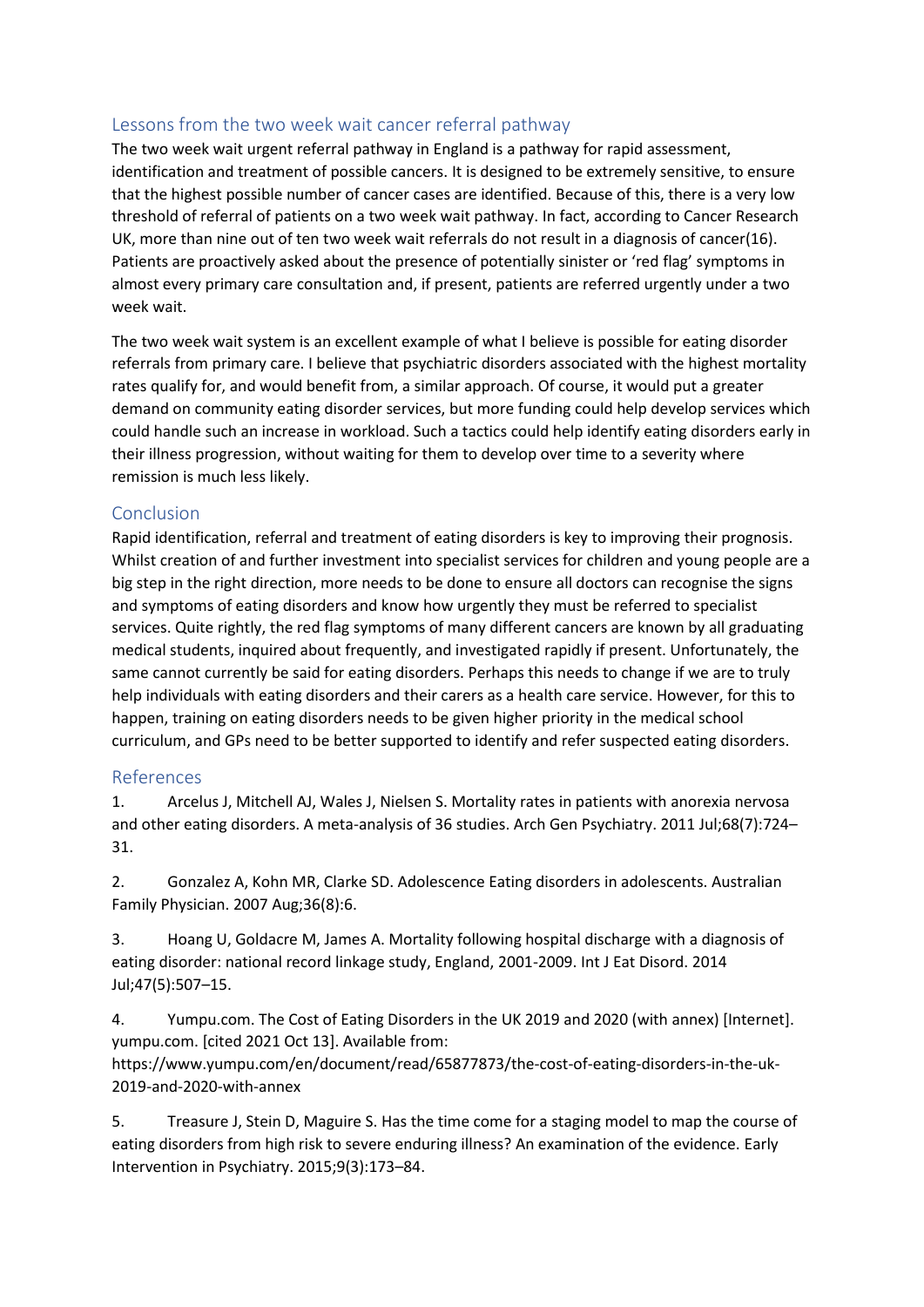#### Lessons from the two week wait cancer referral pathway

The two week wait urgent referral pathway in England is a pathway for rapid assessment, identification and treatment of possible cancers. It is designed to be extremely sensitive, to ensure that the highest possible number of cancer cases are identified. Because of this, there is a very low threshold of referral of patients on a two week wait pathway. In fact, according to Cancer Research UK, more than nine out of ten two week wait referrals do not result in a diagnosis of cancer(16). Patients are proactively asked about the presence of potentially sinister or 'red flag' symptoms in almost every primary care consultation and, if present, patients are referred urgently under a two week wait.

The two week wait system is an excellent example of what I believe is possible for eating disorder referrals from primary care. I believe that psychiatric disorders associated with the highest mortality rates qualify for, and would benefit from, a similar approach. Of course, it would put a greater demand on community eating disorder services, but more funding could help develop services which could handle such an increase in workload. Such a tactics could help identify eating disorders early in their illness progression, without waiting for them to develop over time to a severity where remission is much less likely.

### Conclusion

Rapid identification, referral and treatment of eating disorders is key to improving their prognosis. Whilst creation of and further investment into specialist services for children and young people are a big step in the right direction, more needs to be done to ensure all doctors can recognise the signs and symptoms of eating disorders and know how urgently they must be referred to specialist services. Quite rightly, the red flag symptoms of many different cancers are known by all graduating medical students, inquired about frequently, and investigated rapidly if present. Unfortunately, the same cannot currently be said for eating disorders. Perhaps this needs to change if we are to truly help individuals with eating disorders and their carers as a health care service. However, for this to happen, training on eating disorders needs to be given higher priority in the medical school curriculum, and GPs need to be better supported to identify and refer suspected eating disorders.

#### References

1. Arcelus J, Mitchell AJ, Wales J, Nielsen S. Mortality rates in patients with anorexia nervosa and other eating disorders. A meta-analysis of 36 studies. Arch Gen Psychiatry. 2011 Jul;68(7):724– 31.

2. Gonzalez A, Kohn MR, Clarke SD. Adolescence Eating disorders in adolescents. Australian Family Physician. 2007 Aug;36(8):6.

3. Hoang U, Goldacre M, James A. Mortality following hospital discharge with a diagnosis of eating disorder: national record linkage study, England, 2001-2009. Int J Eat Disord. 2014 Jul;47(5):507–15.

4. Yumpu.com. The Cost of Eating Disorders in the UK 2019 and 2020 (with annex) [Internet]. yumpu.com. [cited 2021 Oct 13]. Available from:

https://www.yumpu.com/en/document/read/65877873/the-cost-of-eating-disorders-in-the-uk-2019-and-2020-with-annex

5. Treasure J, Stein D, Maguire S. Has the time come for a staging model to map the course of eating disorders from high risk to severe enduring illness? An examination of the evidence. Early Intervention in Psychiatry. 2015;9(3):173–84.